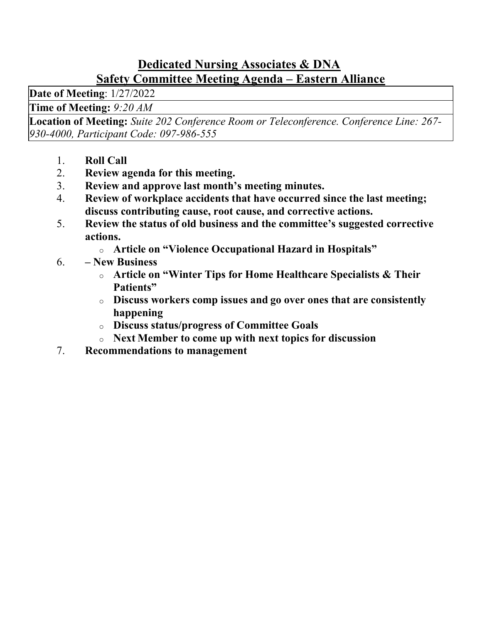#### Dedicated Nursing Associates & DNA Safety Committee Meeting Agenda – Eastern Alliance

Date of Meeting: 1/27/2022

Time of Meeting: 9:20 AM

Location of Meeting: Suite 202 Conference Room or Teleconference. Conference Line: 267- 930-4000, Participant Code: 097-986-555

- 1. Roll Call
- 2. Review agenda for this meeting.
- 3. Review and approve last month's meeting minutes.
- 4. Review of workplace accidents that have occurred since the last meeting; discuss contributing cause, root cause, and corrective actions.
- 5. Review the status of old business and the committee's suggested corrective actions.
	- o Article on "Violence Occupational Hazard in Hospitals"
- 6. New Business
	- o Article on "Winter Tips for Home Healthcare Specialists & Their Patients"
	- o Discuss workers comp issues and go over ones that are consistently happening
	- o Discuss status/progress of Committee Goals
	- o Next Member to come up with next topics for discussion
- 7. Recommendations to management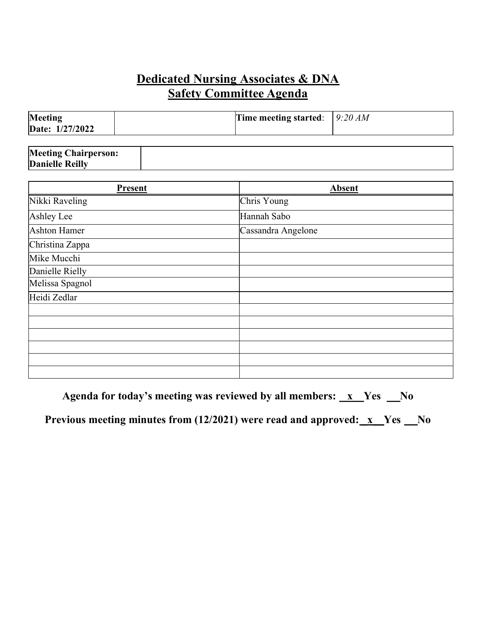### Dedicated Nursing Associates & DNA  Safety Committee Agenda

| Meeting<br>Date: 1/27/2022 | Time meeting started: $9:20 AM$ |  |
|----------------------------|---------------------------------|--|
|                            |                                 |  |

| <b>Meeting Chairperson:</b> |  |
|-----------------------------|--|
| <b>Danielle Reilly</b>      |  |

| Present         | <b>Absent</b>      |
|-----------------|--------------------|
| Nikki Raveling  | Chris Young        |
| Ashley Lee      | Hannah Sabo        |
| Ashton Hamer    | Cassandra Angelone |
| Christina Zappa |                    |
| Mike Mucchi     |                    |
| Danielle Rielly |                    |
| Melissa Spagnol |                    |
| Heidi Zedlar    |                    |
|                 |                    |
|                 |                    |
|                 |                    |
|                 |                    |
|                 |                    |
|                 |                    |

Agenda for today's meeting was reviewed by all members:  $\mathbf{x}$  Yes  $\mathbf{N}$ o

Previous meeting minutes from  $(12/2021)$  were read and approved:  $x$  Yes  $x$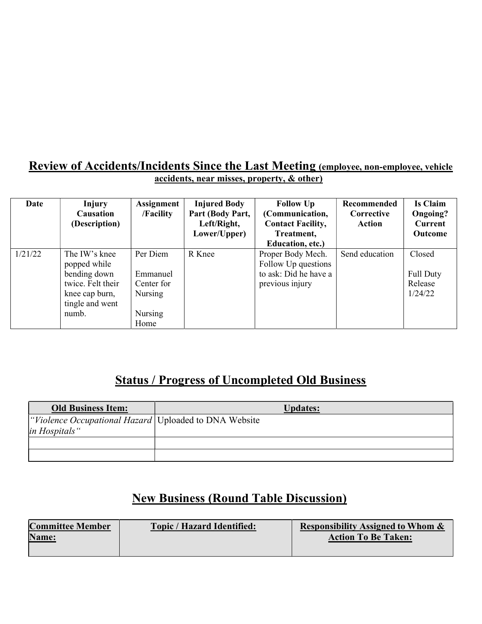#### Review of Accidents/Incidents Since the Last Meeting (employee, non-employee, vehicle accidents, near misses, property, & other)

| Date    | Injury<br><b>Causation</b><br>(Description)                                                                      | Assignment<br>/Facility                                          | <b>Injured Body</b><br>Part (Body Part,<br>Left/Right,<br>Lower/Upper) | <b>Follow Up</b><br>(Communication,<br><b>Contact Facility,</b><br>Treatment,<br>Education, etc.) | Recommended<br>Corrective<br>Action | Is Claim<br>Ongoing?<br><b>Current</b><br><b>Outcome</b> |
|---------|------------------------------------------------------------------------------------------------------------------|------------------------------------------------------------------|------------------------------------------------------------------------|---------------------------------------------------------------------------------------------------|-------------------------------------|----------------------------------------------------------|
| 1/21/22 | The IW's knee<br>popped while<br>bending down<br>twice. Felt their<br>knee cap burn,<br>tingle and went<br>numb. | Per Diem<br>Emmanuel<br>Center for<br>Nursing<br>Nursing<br>Home | R Knee                                                                 | Proper Body Mech.<br>Follow Up questions<br>to ask: Did he have a<br>previous injury              | Send education                      | Closed<br>Full Duty<br>Release<br>1/24/22                |

## Status / Progress of Uncompleted Old Business

| <b>Old Business Item:</b>                                                | <b>Updates:</b> |
|--------------------------------------------------------------------------|-----------------|
| "Violence Occupational Hazard   Uploaded to DNA Website<br>in Hospitals" |                 |
|                                                                          |                 |
|                                                                          |                 |

## New Business (Round Table Discussion)

| <b>Committee Member</b> | <b>Topic / Hazard Identified:</b> | <b>Responsibility Assigned to Whom &amp;</b> |
|-------------------------|-----------------------------------|----------------------------------------------|
| Name:                   |                                   | <b>Action To Be Taken:</b>                   |
|                         |                                   |                                              |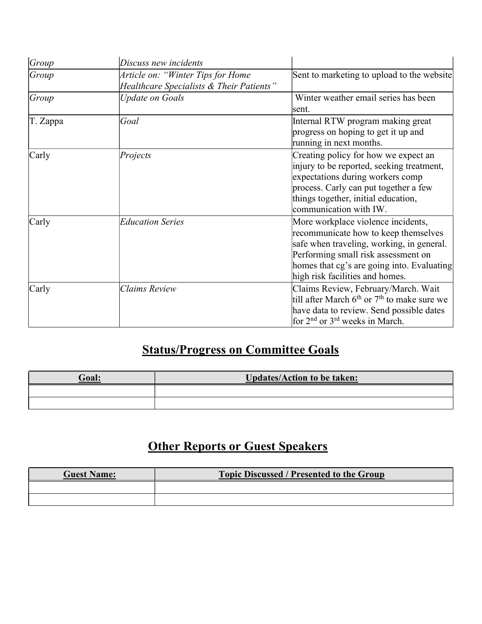| Group    | Discuss new incidents                                                         |                                                                                                                                                                                                                                                 |  |
|----------|-------------------------------------------------------------------------------|-------------------------------------------------------------------------------------------------------------------------------------------------------------------------------------------------------------------------------------------------|--|
| Group    | Article on: "Winter Tips for Home<br>Healthcare Specialists & Their Patients" | Sent to marketing to upload to the website                                                                                                                                                                                                      |  |
| Group    | <b>Update on Goals</b>                                                        | Winter weather email series has been<br>lsent.                                                                                                                                                                                                  |  |
| T. Zappa | Goal                                                                          | Internal RTW program making great<br>progress on hoping to get it up and<br>running in next months.                                                                                                                                             |  |
| Carly    | Projects                                                                      | Creating policy for how we expect an<br>injury to be reported, seeking treatment,<br>expectations during workers comp<br>process. Carly can put together a few<br>things together, initial education,<br>communication with IW.                 |  |
| Carly    | <b>Education Series</b>                                                       | More workplace violence incidents,<br>recommunicate how to keep themselves<br>safe when traveling, working, in general.<br>Performing small risk assessment on<br>homes that cg's are going into. Evaluating<br>high risk facilities and homes. |  |
| Carly    | <b>Claims Review</b>                                                          | Claims Review, February/March. Wait<br>till after March $6th$ or $7th$ to make sure we<br>have data to review. Send possible dates<br>for 2 <sup>nd</sup> or 3 <sup>rd</sup> weeks in March.                                                    |  |

# Status/Progress on Committee Goals

| <b>Goal:</b> | <b>Updates/Action to be taken:</b> |  |
|--------------|------------------------------------|--|
|              |                                    |  |
|              |                                    |  |

## **Other Reports or Guest Speakers**

| <b>Guest Name:</b> | <b>Topic Discussed / Presented to the Group</b> |  |
|--------------------|-------------------------------------------------|--|
|                    |                                                 |  |
|                    |                                                 |  |